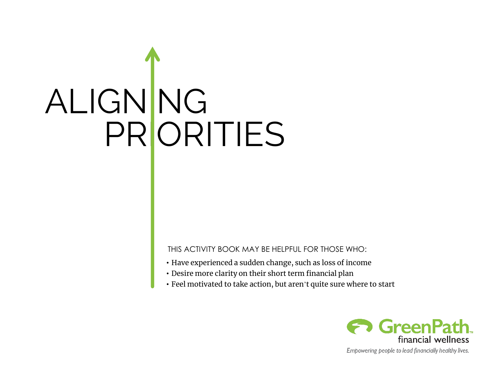# ALIGNING PRORITIES

THIS ACTIVITY BOOK MAY BE HELPFUL FOR THOSE WHO:

- Have experienced a sudden change, such as loss of income
- Desire more clarity on their short term financial plan
- Feel motivated to take action, but aren't quite sure where to start



Empowering people to lead financially healthy lives.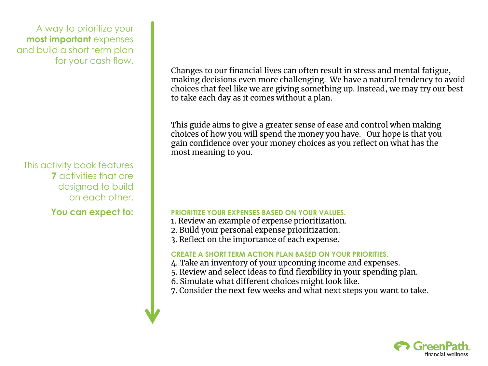A way to prioritize your **most important** expenses and build a short term plan for your cash flow.

This activity book features **7** activities that are designed to build on each other.

Changes to our financial lives can often result in stress and mental fatigue, making decisions even more challenging. We have a natural tendency to avoid choices that feel like we are giving something up. Instead, we may try our best to take each day as it comes without a plan.

This guide aims to give a greater sense of ease and control when making choices of how you will spend the money you have. Our hope is that you gain confidence over your money choices as you reflect on what has the most meaning to you.

### You can expect to: **PRIORITIZE YOUR EXPENSES BASED ON YOUR VALUES.**

- 1. Review an example of expense prioritization.
- 2. Build your personal expense prioritization.
- 3. Reflect on the importance of each expense.

### **CREATE A SHORT TERM ACTION PLAN BASED ON YOUR PRIORITIES.**

- 4. Take an inventory of your upcoming income and expenses.
- 5. Review and select ideas to find flexibility in your spending plan.
- 6. Simulate what different choices might look like.
- 7. Consider the next few weeks and what next steps you want to take.

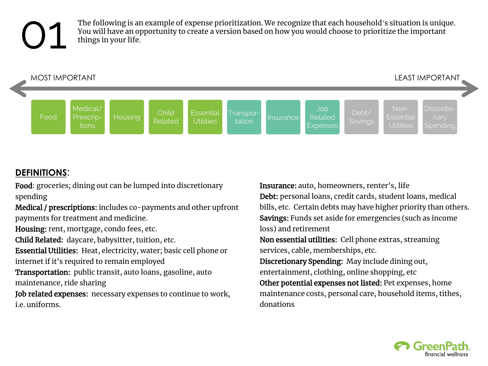### 01

The following is an example of expense prioritization. We recognize that each household's situation is unique. You will have an opportunity to create a version based on how you would choose to prioritize the important things in your life.



### **DEFINITIONS**:

Food: groceries; dining out can be lumped into discretionary spending

Medical / prescriptions: includes co-payments and other upfront payments for treatment and medicine.

Housing: rent, mortgage, condo fees, etc.

Child Related: daycare, babysitter, tuition, etc.

Essential Utilities: Heat, electricity, water; basic cell phone or internet if it's required to remain employed

Transportation: public transit, auto loans, gasoline, auto maintenance, ride sharing

Job related expenses: necessary expenses to continue to work, i.e. uniforms.

Insurance: auto, homeowners, renter's, life Debt: personal loans, credit cards, student loans, medical bills, etc. Certain debts may have higher priority than others. Savings: Funds set aside for emergencies (such as income loss) and retirement

Non essential utilities: Cell phone extras, streaming services, cable, memberships, etc.

Discretionary Spending: May include dining out, entertainment, clothing, online shopping, etc

Other potential expenses not listed: Pet expenses, home maintenance costs, personal care, household items, tithes, donations

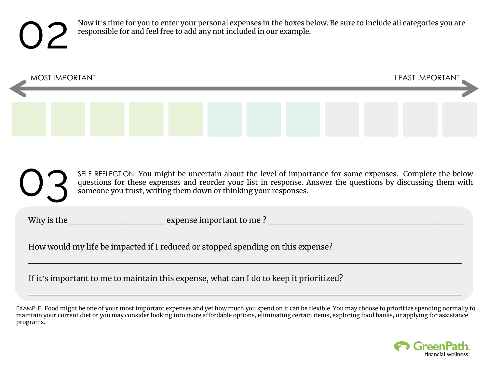Now it's time for you to enter your personal expenses in the boxes below. Be sure to include all categories you are responsible for and feel free to add any not included in our example.



SELF REFLECTION: You might be uncertain about the level of importance for some expenses. Complete the below questions for these expenses and reorder your list in response. Answer the questions by discussing them with someone you trust, writing them down or thinking your responses. 03

Why is the \_\_\_\_\_\_\_\_\_\_\_\_\_\_\_ expense important to me ? \_\_\_\_\_\_\_\_\_\_\_\_\_\_\_\_\_\_\_\_\_\_\_\_\_\_\_\_\_\_\_

How would my life be impacted if I reduced or stopped spending on this expense?

If it's important to me to maintain this expense, what can I do to keep it prioritized?

EXAMPLE: Food might be one of your most important expenses and yet how much you spend on it can be flexible. You may choose to prioritize spending normally to maintain your current diet or you may consider looking into more affordable options, eliminating certain items, exploring food banks, or applying for assistance programs.

 $\mathcal{L}_\text{max}$  , and the contract of the contract of the contract of the contract of the contract of the contract of the contract of the contract of the contract of the contract of the contract of the contract of the contr

 $\mathcal{L}_\text{max}$  and  $\mathcal{L}_\text{max}$  and  $\mathcal{L}_\text{max}$  and  $\mathcal{L}_\text{max}$  and  $\mathcal{L}_\text{max}$  and  $\mathcal{L}_\text{max}$ 

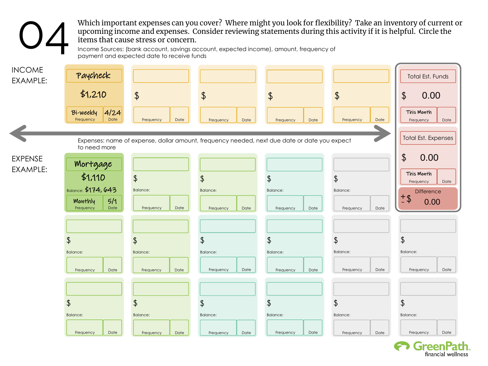Which important expenses can you cover? Where might you look for flexibility? Take an inventory of current or upcoming income and expenses. Consider reviewing statements during this activity if it is helpful. Circle the items that cause stress or concern.

Income Sources: (bank account, savings account, expected income), amount, frequency of payment and expected date to receive funds

04



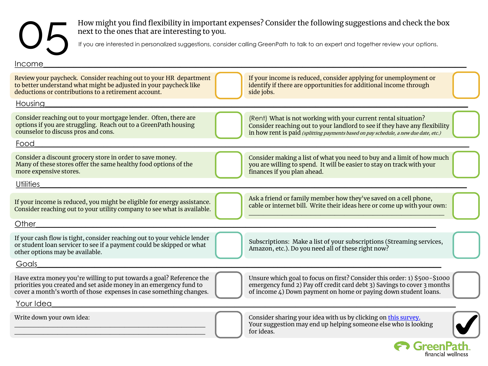## 05

How might you find flexibility in important expenses? Consider the following suggestions and check the box next to the ones that are interesting to you.

If you are interested in personalized suggestions, consider calling GreenPath to talk to an expert and together review your options.

| Income                                                                                                                                                                                                           |                                                                                                                                                                                                                                      |
|------------------------------------------------------------------------------------------------------------------------------------------------------------------------------------------------------------------|--------------------------------------------------------------------------------------------------------------------------------------------------------------------------------------------------------------------------------------|
| Review your paycheck. Consider reaching out to your HR department<br>to better understand what might be adjusted in your paycheck like<br>deductions or contributions to a retirement account.                   | If your income is reduced, consider applying for unemployment or<br>identify if there are opportunities for additional income through<br>side jobs.                                                                                  |
| Housing                                                                                                                                                                                                          |                                                                                                                                                                                                                                      |
| Consider reaching out to your mortgage lender. Often, there are<br>options if you are struggling. Reach out to a GreenPath housing<br>counselor to discuss pros and cons.                                        | (Rent) What is not working with your current rental situation?<br>Consider reaching out to your landlord to see if they have any flexibility<br>in how rent is paid (splitting payments based on pay schedule, a new due date, etc.) |
| Food                                                                                                                                                                                                             |                                                                                                                                                                                                                                      |
| Consider a discount grocery store in order to save money.<br>Many of these stores offer the same healthy food options of the<br>more expensive stores.                                                           | Consider making a list of what you need to buy and a limit of how much<br>you are willing to spend. It will be easier to stay on track with your<br>finances if you plan ahead.                                                      |
| <b>Utilities</b>                                                                                                                                                                                                 |                                                                                                                                                                                                                                      |
| If your income is reduced, you might be eligible for energy assistance.<br>Consider reaching out to your utility company to see what is available.                                                               | Ask a friend or family member how they've saved on a cell phone,<br>cable or internet bill. Write their ideas here or come up with your own:                                                                                         |
| Other                                                                                                                                                                                                            |                                                                                                                                                                                                                                      |
| If your cash flow is tight, consider reaching out to your vehicle lender<br>or student loan servicer to see if a payment could be skipped or what<br>other options may be available.                             | Subscriptions: Make a list of your subscriptions (Streaming services,<br>Amazon, etc.). Do you need all of these right now?                                                                                                          |
| Goals                                                                                                                                                                                                            |                                                                                                                                                                                                                                      |
| Have extra money you're willing to put towards a goal? Reference the<br>priorities you created and set aside money in an emergency fund to<br>cover a month's worth of those expenses in case something changes. | Unsure which goal to focus on first? Consider this order: 1) \$500-\$1000<br>emergency fund 2) Pay off credit card debt 3) Savings to cover 3 months<br>of income 4) Down payment on home or paying down student loans.              |
| Your Idea                                                                                                                                                                                                        |                                                                                                                                                                                                                                      |
| Write down your own idea:                                                                                                                                                                                        | Consider sharing your idea with us by clicking on this survey.<br>Your suggestion may end up helping someone else who is looking<br>for ideas.                                                                                       |
|                                                                                                                                                                                                                  | <b>GreenP</b>                                                                                                                                                                                                                        |

financial wellness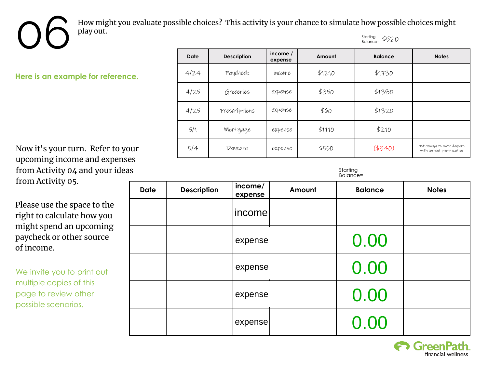How might you evaluate possible choices? This activity is your chance to simulate how possible choices might DC How might Starting Balance= \$520

**Here is an example for reference.**

Now it's your turn. Refer to your upcoming income and expenses from Activity 04 and your ideas from Activity 05.

Please use the space to the right to calculate how you might spend an upcoming paycheck or other source of income.

We invite you to print out multiple copies of this page to review other possible scenarios.

| <b>Date</b> | <b>Description</b> | income /<br>expense | Amount | <b>Balance</b> | <b>Notes</b>                                               |
|-------------|--------------------|---------------------|--------|----------------|------------------------------------------------------------|
| 4/24        | Paycheck           | income              | \$1210 | \$1730         |                                                            |
| 4/25        | Groceries          | expense             | \$350  | \$1380         |                                                            |
| 4/25        | Prescriptions      | expense             | \$60   | \$1320         |                                                            |
| 5/1         | Mortgage           | expense             | \$1110 | \$210          |                                                            |
| 5/4         | Daycare            | expense             | \$550  | (4340)         | Not enough to cover daycare<br>with current prioritization |

Starting Balance=

| <b>Date</b> | <b>Description</b> | income/<br>expense | Amount | <b>Balance</b> | <b>Notes</b> |
|-------------|--------------------|--------------------|--------|----------------|--------------|
|             |                    | income             |        |                |              |
|             |                    | expense            |        | 0.00           |              |
|             |                    | expense            |        | 0.00           |              |
|             |                    | expense            |        | 0.00           |              |
|             |                    | expense            |        | 0.00           |              |

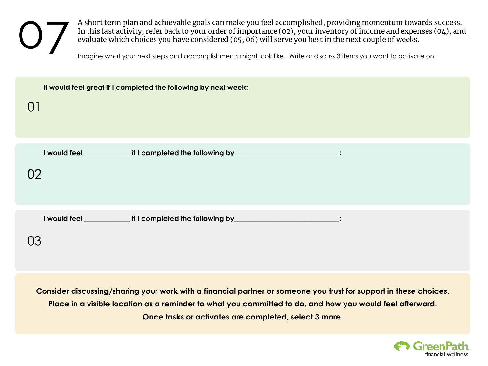A short term plan and achievable goals can make you feel accomplished, providing momentum towards success. In this last activity, refer back to your order of importance (02), your inventory of income and expenses (04), and evaluate which choices you have considered (05, 06) will serve you best in the next couple of weeks.<br>Imagine what your next steps and accomplishments might look like. Write or discuss 3 items you want to activate on.

| It would feel great if I completed the following by next week:                              |  |  |  |  |
|---------------------------------------------------------------------------------------------|--|--|--|--|
| O <sub>1</sub>                                                                              |  |  |  |  |
|                                                                                             |  |  |  |  |
|                                                                                             |  |  |  |  |
| I would feel _______________ if I completed the following by_________________________:      |  |  |  |  |
| 02                                                                                          |  |  |  |  |
|                                                                                             |  |  |  |  |
|                                                                                             |  |  |  |  |
|                                                                                             |  |  |  |  |
| I would feel ________________ if I completed the following by ____________________________: |  |  |  |  |
| 03                                                                                          |  |  |  |  |
|                                                                                             |  |  |  |  |

**Consider discussing/sharing your work with a financial partner or someone you trust for support in these choices. Place in a visible location as a reminder to what you committed to do, and how you would feel afterward. Once tasks or activates are completed, select 3 more.**